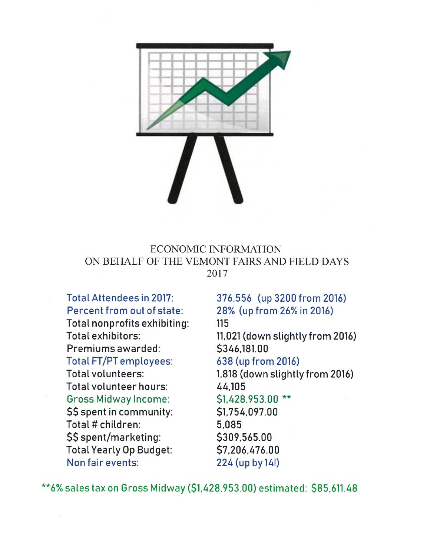

## ECONOMIC INFORMATION ON BEHALF OF THE VEMONT FAIRS AND FIELD DAYS 2017

**Total Attendees in 2017: Percent from out of state: Total nonprofits exhibiting:** 

**Total exhibitors: Premiums awarded: Total FT/PT employees: Total volunteers: Total volunteer hours: Gross Midway Income: \$\$ spent in community: Total # children: \$\$ spent/marketing: Total Yearly Op Budget: Non fair events:** 

**376,556 (up 3200 from 2016) 28% (up from 26% in 2016) 115 11,021 (down slightly from 2016) \$346,181.00 638 (up from 2016) 1,818 (down slightly from 2016) 44,105 \$1,428,953.00** \*\* **\$1,754,097.00 5,085 \$309,565.00 \$7,206,476.00 224 (up by 14!)** 

**\*\*6% sales tax on Gross Midway (\$1,428,953.00) estimated: \$85,611.48**